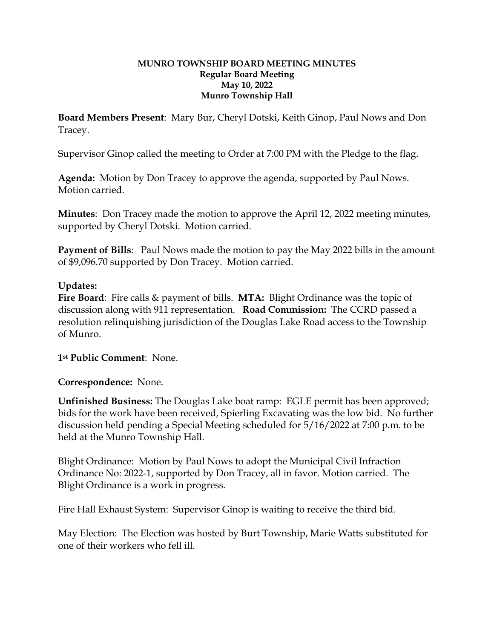## **MUNRO TOWNSHIP BOARD MEETING MINUTES Regular Board Meeting May 10, 2022 Munro Township Hall**

**Board Members Present**: Mary Bur, Cheryl Dotski, Keith Ginop, Paul Nows and Don Tracey.

Supervisor Ginop called the meeting to Order at 7:00 PM with the Pledge to the flag.

**Agenda:** Motion by Don Tracey to approve the agenda, supported by Paul Nows. Motion carried.

**Minutes**: Don Tracey made the motion to approve the April 12, 2022 meeting minutes, supported by Cheryl Dotski. Motion carried.

**Payment of Bills**: Paul Nows made the motion to pay the May 2022 bills in the amount of \$9,096.70 supported by Don Tracey. Motion carried.

## **Updates:**

**Fire Board**: Fire calls & payment of bills. **MTA:** Blight Ordinance was the topic of discussion along with 911 representation. **Road Commission:** The CCRD passed a resolution relinquishing jurisdiction of the Douglas Lake Road access to the Township of Munro.

**1st Public Comment**: None.

**Correspondence:** None.

**Unfinished Business:** The Douglas Lake boat ramp: EGLE permit has been approved; bids for the work have been received, Spierling Excavating was the low bid. No further discussion held pending a Special Meeting scheduled for 5/16/2022 at 7:00 p.m. to be held at the Munro Township Hall.

Blight Ordinance: Motion by Paul Nows to adopt the Municipal Civil Infraction Ordinance No: 2022-1, supported by Don Tracey, all in favor. Motion carried. The Blight Ordinance is a work in progress.

Fire Hall Exhaust System: Supervisor Ginop is waiting to receive the third bid.

May Election: The Election was hosted by Burt Township, Marie Watts substituted for one of their workers who fell ill.